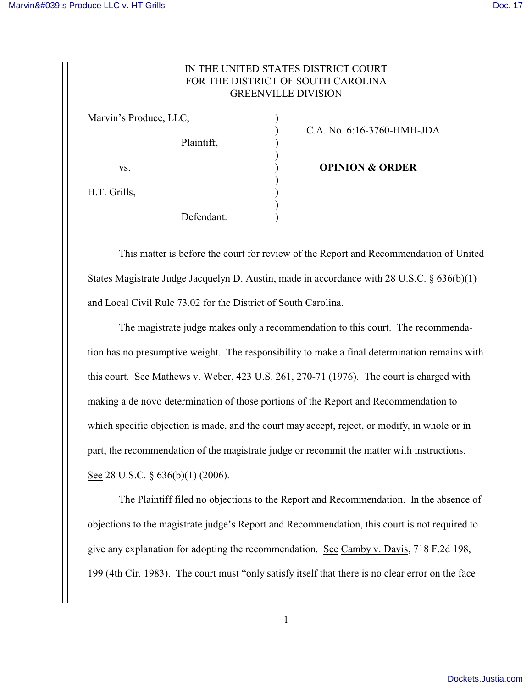## IN THE UNITED STATES DISTRICT COURT FOR THE DISTRICT OF SOUTH CAROLINA GREENVILLE DIVISION

| Marvin's Produce, LLC, |            |  |
|------------------------|------------|--|
|                        | Plaintiff, |  |
| VS.                    |            |  |
| H.T. Grills,           |            |  |
|                        | Defendant. |  |

) C.A. No. 6:16-3760-HMH-JDA

**value of OPINION & ORDER** 

This matter is before the court for review of the Report and Recommendation of United States Magistrate Judge Jacquelyn D. Austin, made in accordance with 28 U.S.C. § 636(b)(1) and Local Civil Rule 73.02 for the District of South Carolina.

The magistrate judge makes only a recommendation to this court. The recommendation has no presumptive weight. The responsibility to make a final determination remains with this court. See Mathews v. Weber, 423 U.S. 261, 270-71 (1976). The court is charged with making a de novo determination of those portions of the Report and Recommendation to which specific objection is made, and the court may accept, reject, or modify, in whole or in part, the recommendation of the magistrate judge or recommit the matter with instructions. See 28 U.S.C. § 636(b)(1) (2006).

The Plaintiff filed no objections to the Report and Recommendation. In the absence of objections to the magistrate judge's Report and Recommendation, this court is not required to give any explanation for adopting the recommendation. See Camby v. Davis, 718 F.2d 198, 199 (4th Cir. 1983). The court must "only satisfy itself that there is no clear error on the face